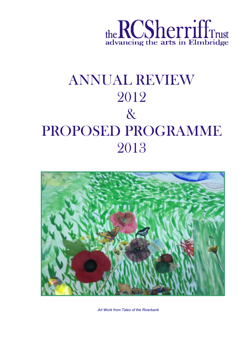

# ANNUAL REVIEW 2012 & PROPOSED PROGRAMME 2013



*Art Work from Tales of the Riverbank*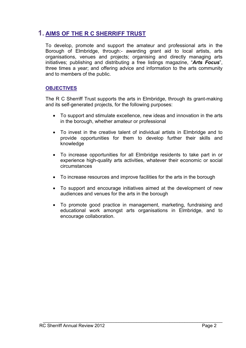# **1. AIMS OF THE R C SHERRIFF TRUST**

To develop, promote and support the amateur and professional arts in the Borough of Elmbridge, through:- awarding grant aid to local artists, arts organisations, venues and projects; organising and directly managing arts initiatives; publishing and distributing a free listings magazine, "*Arts Focus*", three times a year; and offering advice and information to the arts community and to members of the public.

#### **OBJECTIVES**

The R C Sherriff Trust supports the arts in Elmbridge, through its grant-making and its self-generated projects, for the following purposes:

- To support and stimulate excellence, new ideas and innovation in the arts in the borough, whether amateur or professional
- To invest in the creative talent of individual artists in Elmbridge and to provide opportunities for them to develop further their skills and knowledge
- To increase opportunities for all Elmbridge residents to take part in or experience high-quality arts activities, whatever their economic or social circumstances
- To increase resources and improve facilities for the arts in the borough
- To support and encourage initiatives aimed at the development of new audiences and venues for the arts in the borough
- To promote good practice in management, marketing, fundraising and educational work amongst arts organisations in Elmbridge, and to encourage collaboration.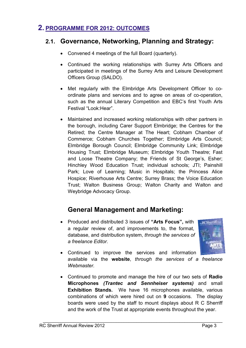# **2. PROGRAMME FOR 2012: OUTCOMES**

# **2.1. Governance, Networking, Planning and Strategy:**

- Convened 4 meetings of the full Board (quarterly).
- Continued the working relationships with Surrey Arts Officers and participated in meetings of the Surrey Arts and Leisure Development Officers Group (SALDO).
- Met regularly with the Elmbridge Arts Development Officer to coordinate plans and services and to agree on areas of co-operation, such as the annual Literary Competition and EBC's first Youth Arts Festival "Look: Hear"
- Maintained and increased working relationships with other partners in the borough, including Carer Support Elmbridge; the Centres for the Retired; the Centre Manager at The Heart; Cobham Chamber of Commerce; Cobham Churches Together; Elmbridge Arts Council; Elmbridge Borough Council; Elmbridge Community Link; Elmbridge Housing Trust; Elmbridge Museum; Elmbridge Youth Theatre; Fast and Loose Theatre Company; the Friends of St George's, Esher; Hinchley Wood Education Trust; individual schools; JTI; Painshill Park; Love of Learning; Music in Hospitals; the Princess Alice Hospice; Riverhouse Arts Centre; Surrey Brass; the Voice Education Trust; Walton Business Group; Walton Charity and Walton and Weybridge Advocacy Group.

# **General Management and Marketing:**

• Produced and distributed 3 issues of **"Arts Focus",** with a regular review of, and improvements to, the format, database, and distribution system, *through the services of a freelance Editor.* 



- Continued to improve the services and information available via the **website**, *through the services of a freelance Webmaster.*
- Continued to promote and manage the hire of our two sets of **Radio Microphones** *(Trantec and Sennheiser systems)* and small **Exhibition Stands.** We have 16 microphones available, various combinations of which were hired out on **9** occasions. The display boards were used by the staff to mount displays about R C Sherriff and the work of the Trust at appropriate events throughout the year.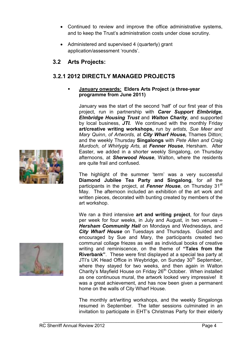- Continued to review and improve the office administrative systems, and to keep the Trust's administration costs under close scrutiny.
- Administered and supervised 4 (quarterly) grant application/assessment 'rounds'.

# **3.2 Arts Projects:**

# **3.2.1 2012 DIRECTLY MANAGED PROJECTS**

#### **January onwards: Elders Arts Project** (**a three-year programme from June 2011)**

January was the start of the second 'half' of our first year of this project, run in partnership with *Carer Support Elmbridge*, *Elmbridge Housing Trust* and *Walton Charity*, and supported by local business, *JTI.* We continued with the monthly Friday **art/creative writing workshops,** run by *artists, Sue Meer and Mary Quinn*, *of Artwords,* at *City Wharf House,* Thames Ditton; and the weekly Thursday **Singalongs** with *Pete Allen and Craig Murdoch, of Whirlygig Arts,* at *Fenner House*, Hersham. After Easter, we added in a shorter weekly Singalong, on Thursday afternoons, at *Sherwood House*, Walton, where the residents are quite frail and confused.

The highlight of the summer 'term' was a very successful **Diamond Jubilee Tea Party and Singalong**, for *all* the participants in the project, at **Fenner House**, on Thursday 31<sup>st</sup> May. The afternoon included an exhibition of the art work and written pieces, decorated with bunting created by members of the art workshop.

We ran a third intensive **art and writing project**, for four days per week for four weeks, in July and August, in two venues – *Hersham Community Hall* on Mondays and Wednesdays, and *City Wharf House* on Tuesdays and Thursdays. Guided and encouraged by Sue and Mary, the participants created two communal collage friezes as well as individual books of creative writing and reminiscence, on the theme of **"Tales from the Riverbank"**. These were first displayed at a special tea party at JTI's UK Head Office in Weybridge, on Sunday 30<sup>th</sup> September, where they stayed for two weeks, and then again in Walton Charity's Mayfield House on Friday 26<sup>th</sup> October. When installed as one continuous mural, the artwork looked very impressive! It was a great achievement, and has now been given a permanent home on the walls of City Wharf House.

The monthly art/writing workshops, and the weekly Singalongs resumed in September. The latter sessions culminated in an invitation to participate in EHT's Christmas Party for their elderly



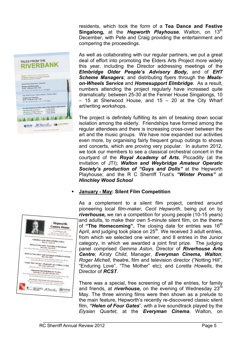residents, which took the form of a **Tea Dance and Festive Singalong, at the** *Hepworth Playhouse*, Walton, on 13<sup>th</sup> December, with Pete and Craig providing the entertainment and compering the proceedings.



As well as collaborating with our regular partners, we put a great deal of effort into promoting the Elders Arts Project more widely this year, including the Director addressing meetings of the *Elmbridge Older People's Advisory Body,* and of *EHT Scheme Managers*; and distributing flyers through the *Mealson-Wheels Service* and *Homesupport Elmbridge*. As a result, numbers attending the project regularly have increased quite dramatically: between 25-30 at the Fenner House Singalongs, 10  $-$  15 at Sherwood House, and 15  $-$  20 at the City Wharf art/writing workshops.

The project is definitely fulfilling its aim of breaking down social isolation among the elderly. Friendships have formed among the regular attendees and there is increasing cross-over between the art and the music groups. We have now expanded our activities even more, by organising fairly frequent group outings to shows and concerts, which are proving very popular. In autumn 2012, we took our members to see a classical orchestral concert in the courtyard of the *Royal Academy of Arts*, Piccadilly (at the invitation of JTI); *Walton and Weybridge Amateur Operatic Society's production of "Guys and Dolls"* at the Hepworth Playhouse; and the R C Sherriff Trust's *"Winter Proms"* at *Hinchley Wood School*

## **January - May: Silent Film Competition**

As a complement to a silent film project, centred around pioneering local *film-maker, Cecil Hepworth*, being put on by *riverhouse,* we ran a competition for young people (10-15 years) and adults, to make their own 5-minute silent film, on the theme of "The Homecoming". The closing date for entries was 16<sup>th</sup> April, and judging took place on  $25<sup>th</sup>$ . We received 3 adult entries, from which we selected one winner, and 8 entries in the Junior category, in which we awarded a joint first prize. The judging panel comprised *Gemma Aston*, Director of *Riverhouse Arts Centre*; *Kirsty Child*, Manager, *Everyman Cinema, Walton*; *Roger Michell*, theatre, film and television director ("Notting Hill", "Enduring Love", "The Mother" etc); and *Loretta Howells,* the Director of *RCST*.

There was a special, free screening of all the entries, for family and friends, at *riverhouse,* on the evening of Wednesday 23rd May. The three winning films were then shown as a prelude to the main feature, Hepworth's recently re-discovered classic silent film, *"Helen of Four Gates*", with a live soundtrack played by the *Elysian Quartet*, at the *Everyman Cinema*, Walton, on

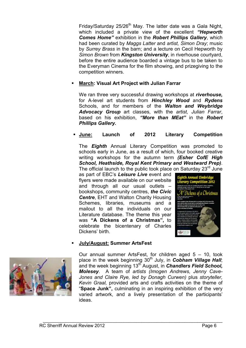Friday/Saturday  $25/26<sup>th</sup>$  May. The latter date was a Gala Night, which included a private view of the excellent *"Hepworth Comes Home"* exhibition in the *Robert Phillips Gallery*, which had been curated by *Maggs Latter* and *artist, Simon Dray*; music by *Surrey Brass* in the barn; and a lecture on Cecil Hepworth by *Simon Brown* from *Kingston University*, in riverhouse courtyard, before the entire audience boarded a vintage bus to be taken to the Everyman Cinema for the film showing, and prizegiving to the competition winners.

### **March: Visual Art Project with Julian Farrar**

We ran three very successful drawing workshops at *riverhouse,* for A-level art students from *Hinchley Wood* and *Rydens*  Schools, and for members of the *Walton and Weybridge Advocacy Group* art classes, with the *artist, Julian Farrar*, based on his exhibition, *"More than MEat"* in the *Robert Phillips Gallery.* 

### **June: Launch of 2012 Literary Competition**

The *Eighth* Annual Literary Competition was promoted to schools early in June, as a result of which, four booked creative writing workshops for the autumn term *(Esher CofE High School, Heathside, Royal Kent Primary and Westward Prep)*. The official launch to the public took place on Saturday  $23<sup>rd</sup>$  June

as part of EBC's *Leisure Live* event and flyers were made available on our website and through all our usual outlets – bookshops, community centres, *the Civic Centre*, EHT and Walton Charity Housing Schemes, libraries, museums and a mailout to all the individuals on our Literature database. The theme this year was **"A Dickens of a Christmas",** to celebrate the bicentenary of Charles Dickens' birth.



#### **July/August: Summer ArtsFest**



Our annual summer ArtsFest, for children aged 5 – 10, took place in the week beginning 30<sup>th</sup> July, in **Cobham Village Hall**; and the week beginning 13<sup>th</sup> August, in **Chandlers Field School,** *Molesey*. A team of *artists (Imogen Andrews, Jenny Cave-Jones and Claire Rye, led by Donagh Curwen)* plus *storyteller, Kevin Graal,* provided arts and crafts activities on the theme of "**Space Junk",** culminating in an inspiring exhibition of the very varied artwork, and a lively presentation of the participants' ideas.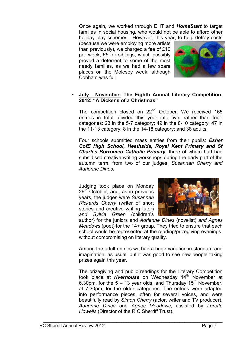Once again, we worked through EHT and *HomeStart* to target families in social housing, who would not be able to afford other holiday play schemes. However, this year, to help defray costs

(because we were employing more artists than previously), we charged a fee of £10 per week, £5 for siblings, which possibly proved a deterrent to some of the most needy families, as we had a few spare places on the Molesey week, although Cobham was full.



#### **July - November: The Eighth Annual Literary Competition, 2012: "A Dickens of a Christmas"**

The competition closed on 22<sup>nd</sup> October. We received 165 entries in total, divided this year into five, rather than four, categories: 23 in the 5-7 category; 49 in the 8-10 category; 47 in the 11-13 category; 8 in the 14-18 category; and 38 adults.

Four schools submitted mass entries from their pupils: *Esher CofE High School, Heathside, Royal Kent Primary and St Charles Borromeo Catholic Primary*, three of whom had had subsidised creative writing workshops during the early part of the autumn term, from two of our judges, *Susannah Cherry and Adrienne Dines*.

Judging took place on Monday  $29<sup>th</sup>$  October, and, as in previous years, the judges were *Susannah Rickards Cherry* (writer of short stories and creative writing tutor) *and Sylvia Green* (children's



author) for the juniors and *Adrienne Dines* (novelist) *and Agnes Meadows* (poet) for the 14+ group. They tried to ensure that each school would be represented at the reading/prizegiving evenings, without compromising on literary quality.

Among the adult entries we had a huge variation in standard and imagination, as usual; but it was good to see new people taking prizes again this year.

The prizegiving and public readings for the Literary Competition took place at *riverhouse* on Wednesday 14<sup>th</sup> November at 6.30pm, for the  $5 - 13$  year olds, and Thursday 15<sup>th</sup> November. at 7.30pm, for the older categories. The entries were adapted into performance pieces, often for several voices, and were beautifully read by *Simon Cherry* (actor, writer and TV producer), *Adrienne Dines* and *Agnes Meadows*, assisted by *Loretta Howells* (Director of the R C Sherriff Trust).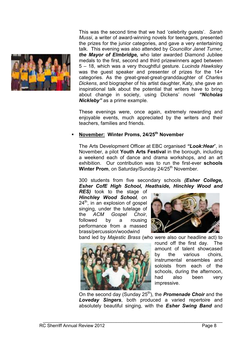

This was the second time that we had 'celebrity guests'. *Sarah Mussi*, a writer of award-winning novels for teenagers, presented the prizes for the junior categories, and gave a very entertaining talk. This evening was also attended by *Councillor Janet Turner*, *the Mayor of Elmbridge,* who later awarded Diamond Jubilee medals to the first, second and third prizewinners aged between 5 – 18, which was a very thoughtful gesture. *Lucinda Hawksley* was the guest speaker and presenter of prizes for the 14+ categories. As the great-great-great-granddaughter of *Charles Dickens*, and biographer of his artist daughter, Katy, she gave an inspirational talk about the potential that writers have to bring about change in society, using Dickens' novel *"Nicholas Nickleby"* as a prime example.

These evenings were, once again, extremely rewarding and enjoyable events, much appreciated by the writers and their teachers, families and friends.

#### **November: Winter Proms, 24/25th November**

The Arts Development Officer at EBC organised *"Look:Hear*", in November, a pilot **Youth Arts Festival** in the borough, including a weekend each of dance and drama workshops, and an art exhibition. Our contribution was to run the first-ever **schools Winter Prom, on Saturday/Sunday 24/25<sup>th</sup> November.** 

300 students from five secondary schools *(Esher College, Esher CofE High School, Heathside, Hinchley Wood and* 

*RES)* took to the stage of *Hinchley Wood School,* on  $24<sup>th</sup>$ , in an explosion of gospel singing, under the tutelage of the *ACM Gospel Choir*, followed by a rousing performance from a massed brass/percussion/woodwind



band led by *Majestic Brass* (who were also our headline act) to



round off the first day. The amount of talent showcased by the various choirs, instrumental ensembles and soloists from each of the schools, during the afternoon, had also been very impressive.

On the second day (Sunday 25<sup>th</sup>), the **Promenade Choir** and the *Loveday Singers*, both produced a varied repertoire and absolutely beautiful singing, with the *Esher Swing Band* and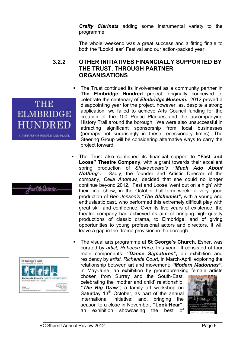*Crafty Clarinets* adding some instrumental variety to the programme.

The whole weekend was a great success and a fitting finale to both the "Look:Hear" Festival and our action-packed year.

## **3.2.2 OTHER INITIATIVES FINANCIALLY SUPPORTED BY THE TRUST, THROUGH PARTNER ORGANISATIONS**

- The Trust continued its involvement as a community partner in **The Elmbridge Hundred** project, originally conceived to celebrate the centenary of *Elmbridge Museum.* 2012 proved a disappointing year for the project, however, as, despite a strong application, we failed to achieve Arts Council funding for the creation of the 100 Poetic Plaques and the accompanying History Trail around the borough. We were also unsuccessful in attracting significant sponsorship from local businesses (perhaps not surprisingly in these recessionary times). The Steering Group will be considering alternative ways to carry the project forward.
- The Trust also continued its financial support to **"Fast and Loose" Theatre Company**, with a grant towards their excellent spring production of *Shakespeare's "Much Ado About Nothing".* Sadly, the founder and Artistic Director of the company, *Celia Andrews,* decided that she could no longer continue beyond 2012. Fast and Loose 'went out on a high' with their final show, in the October half-term week: a very good production of *Ben Jonson's "The Alchemist",* with a young and enthusiastic cast, who performed this extremely difficult play with great skill and confidence. Over its five years of existence, the theatre company had achieved its aim of bringing high quality productions of classic drama, to Elmbridge, and of giving opportunities to young professional actors and directors. It will leave a gap in the drama provision in the borough.
- The visual arts programme at **St George's Church**, Esher, was curated by *artist, Rebecca Price*, this year. It consisted of four main components: *"Dance Signatures",* an exhibition and residency by *artist, Richenda Court*, in March-April, exploring the relationship between art and movement; *"Modern Madonnas"*, in May-June, an exhibition by groundbreaking female artists

chosen from Surrey and the South-East, celebrating the 'mother and child' relationship; *"The Big Draw",* a family art workshop on Saturday  $13<sup>th</sup>$  October, as part of the annual international initiative; and, bringing the season to a close in November, **"Look:Hear",** an exhibition showcasing the best of







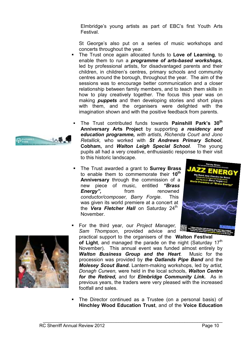Elmbridge's young artists as part of EBC's first Youth Arts Festival.

St George's also put on a series of music workshops and concerts throughout the year.

- The Trust once again allocated funds to **Love of Learning**, to enable them to run a *programme of arts-based workshops*, led by professional artists, for disadvantaged parents and their children, in children's centres, primary schools and community centres around the borough, throughout the year. The aim of the sessions was to encourage better communication and a closer relationship between family members, and to teach them skills in how to play creatively together. The focus this year was on making *puppets* and then developing stories and short plays with them, and the organisers were delighted with the imagination shown and with the positive feedback from parents.
- The Trust contributed funds towards **Painshill Park's 30th Anniversary Arts Project** by supporting *a residency and education programme, with artists, Richenda Court and Jono Retallick,* who worked with *St Andrews Primary School*, **Cobham,** and *Walton Leigh Special School*. The young pupils all had a very creative, enthusiastic response to their visit to this historic landscape.
- The Trust awarded a grant to **Surrey Brass** to enable them to commemorate their **10th Anniversary** through the commission of a new piece of music, entitled *"Brass Energy",* from renowned *conductor/composer, Barry Forgie*. This was given its world premiere at a concert at the **Vera Fletcher Hall** on Saturday 24<sup>th</sup> November.





- For the third year, our *Project Manager, Sam Thompson*, provided advice and practical support to the organisers of the **Walton Festival**  of Light, and managed the parade on the night (Saturday 17<sup>th</sup> November).This annual event was funded almost entirely by *Walton Business Group and the Heart*. Music for the procession was provided by *the Oatlands Pipe Band* and the *Molesey Scout Band.* Lantern-making workshops, led by *artist, Donagh Curwen,* were held in the local schools, *Walton Centre for the Retired,* and for *Elmbridge Community Link.* As in previous years, the traders were very pleased with the increased footfall and sales.
- The Director continued as a Trustee (on a personal basis) of **Hinchley Wood Education Trust**, and of the **Voice Education**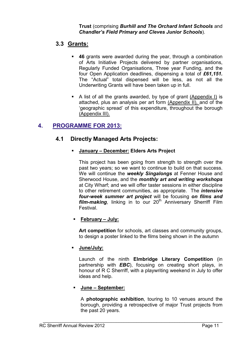**Trust** (comprising *Burhill and The Orchard Infant Schools* and *Chandler's Field Primary and Cleves Junior Schools*).

## **3.3 Grants:**

- **46** grants were awarded during the year, through a combination of Arts Initiative Projects delivered by partner organisations, Regularly Funded Organisations, Three year Funding, and the four Open Application deadlines, dispensing a total of *£61,151.* The "Actual" total dispensed will be less, as not all the Underwriting Grants will have been taken up in full.
- A list of all the grants awarded, by type of grant (Appendix I) is attached, plus an analysis per art form (Appendix II), and of the 'geographic spread' of this expenditure, throughout the borough (Appendix III).

# **4. PROGRAMME FOR 2013:**

## **4.1 Directly Managed Arts Projects:**

## **January – December: Elders Arts Project**

This project has been going from strength to strength over the past two years; so we want to continue to build on that success. We will continue the *weekly Singalongs* at Fenner House and Sherwood House, and the *monthly art and writing workshops* at City Wharf; and we will offer taster sessions in either discipline to other retirement communities, as appropriate. The *intensive four-week summer art project* will be focusing *on films and film-making*, linking in to our 20<sup>th</sup> Anniversary Sherriff Film Festival.

## **February – July:**

**Art competition** for schools, art classes and community groups, to design a poster linked to the films being shown in the autumn

## **June/July:**

Launch of the ninth **Elmbridge Literary Competition** (in partnership with *EBC*), focusing on creating short plays, in honour of R C Sherriff, with a playwriting weekend in July to offer ideas and help.

## **June – September:**

A **photographic exhibition**, touring to 10 venues around the borough, providing a retrospective of major Trust projects from the past 20 years.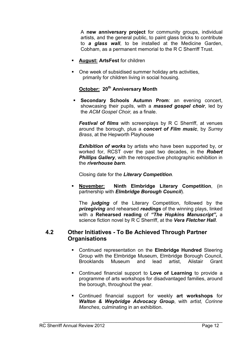A **new anniversary project** for community groups, individual artists, and the general public, to paint glass bricks to contribute to *a glass wall*, to be installed at the Medicine Garden, Cobham, as a permanent memorial to the R C Sherriff Trust.

- **August: ArtsFest** for children
- One week of subsidised summer holiday arts activities, primarily for children living in social housing.

## **October: 20th Anniversary Month**

 **Secondary Schools Autumn Prom**: an evening concert, showcasing their pupils, with a *massed gospel choir*, led by the *ACM Gospel Choir,* as a finale.

*Festival of films* with screenplays by R C Sherriff, at venues around the borough, plus a *concert of Film music*, by *Surrey Brass*, at the Hepworth Playhouse

**Exhibition of works** by artists who have been supported by, or worked for, RCST over the past two decades, in the *Robert*  **Phillips Gallery**, with the retrospective photographic exhibition in the *riverhouse barn*.

Closing date for the *Literary Competition*.

 **November: Ninth Elmbridge Literary Competition**, (in partnership with *Elmbridge Borough Council*).

The *judging* of the Literary Competition, followed by the *prizegiving* and rehearsed *readings* of the winning plays, linked with a **Rehearsed reading** of *"The Hopkins Manuscript",* a science fiction novel by R C Sherriff, at the *Vera Fletcher Hall*.

### **4.2 Other Initiatives - To Be Achieved Through Partner Organisations**

- Continued representation on the **Elmbridge Hundred** Steering Group with the Elmbridge Museum, Elmbridge Borough Council, Brooklands Museum and lead artist, Alistair Grant
- Continued financial support to **Love of Learning** to provide a programme of arts workshops for disadvantaged families, around the borough, throughout the year.
- Continued financial support for weekly **art workshops** for *Walton & Weybridge Advocacy Group*, with *artist, Corinne Manches*, culminating in an exhibition.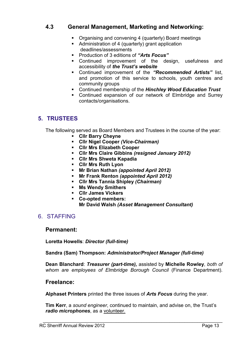## **4.3 General Management, Marketing and Networking:**

- Organising and convening 4 (quarterly) Board meetings
- Administration of 4 (quarterly) grant application deadlines/assessments
- Production of 3 editions of *"Arts Focus"*
- Continued improvement of the design, usefulness and accessibility of *the Trust's website*
- Continued improvement of the *"Recommended Artists"* list, and promotion of this service to schools, youth centres and community groups
- Continued membership of the *Hinchley Wood Education Trust*
- Continued expansion of our network of Elmbridge and Surrey contacts/organisations.

## **5. TRUSTEES**

The following served as Board Members and Trustees in the course of the year:

- **Cllr Barry Cheyne**
- **Cllr Nigel Cooper** *(Vice-Chairman)*
- **Cllr Mrs Elizabeth Cooper**
- **Cllr Mrs Claire Gibbins** *(resigned January 2012)*
- **Cllr Mrs Shweta Kapadia**
- **Cllr Mrs Ruth Lyon**
- **Mr Brian Nathan** *(appointed April 2012)*
- **Mr Frank Renton** *(appointed April 2012)*
- **Cllr Mrs Tannia Shipley** *(Chairman)*
- **Ms Wendy Smithers**
- **Cllr James Vickers**
- **Co-opted members: Mr David Walsh** *(Asset Management Consultant)*

## 6. STAFFING

#### **Permanent:**

**Loretta Howells**: *Director (full-time)* 

**Sandra (Sam) Thompson:** *Administrator/Project Manager (full-time)* 

**Dean Blanchard**: *Treasurer (part-time),* assisted by **Michelle Rowley**, *both of whom are employees of Elmbridge Borough Council* (Finance Department).

## **Freelance:**

**Alphaset Printers** printed the three issues of *Arts Focus* during the year.

**Tim Kerr**, a *sound engineer*, continued to maintain, and advise on, the Trust's *radio microphones*, as a volunteer.